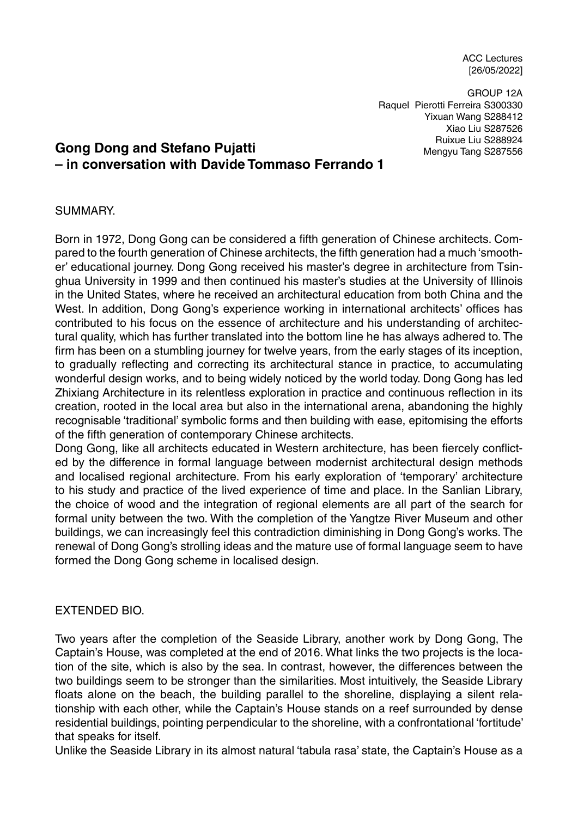ACC Lectures [26/05/2022]

GROUP 12A Raquel Pierotti Ferreira S300330 Yixuan Wang S288412 Xiao Liu S287526 Ruixue Liu S288924 Mengyu Tang S287556

# **Gong Dong and Stefano Pujatti – in conversation with Davide Tommaso Ferrando 1**

### SUMMARY.

Born in 1972, Dong Gong can be considered a fifth generation of Chinese architects. Compared to the fourth generation of Chinese architects, the fifth generation had a much 'smoother' educational journey. Dong Gong received his master's degree in architecture from Tsinghua University in 1999 and then continued his master's studies at the University of Illinois in the United States, where he received an architectural education from both China and the West. In addition, Dong Gong's experience working in international architects' offices has contributed to his focus on the essence of architecture and his understanding of architectural quality, which has further translated into the bottom line he has always adhered to. The firm has been on a stumbling journey for twelve years, from the early stages of its inception, to gradually reflecting and correcting its architectural stance in practice, to accumulating wonderful design works, and to being widely noticed by the world today. Dong Gong has led Zhixiang Architecture in its relentless exploration in practice and continuous reflection in its creation, rooted in the local area but also in the international arena, abandoning the highly recognisable 'traditional' symbolic forms and then building with ease, epitomising the efforts of the fifth generation of contemporary Chinese architects.

Dong Gong, like all architects educated in Western architecture, has been fiercely conflicted by the difference in formal language between modernist architectural design methods and localised regional architecture. From his early exploration of 'temporary' architecture to his study and practice of the lived experience of time and place. In the Sanlian Library, the choice of wood and the integration of regional elements are all part of the search for formal unity between the two. With the completion of the Yangtze River Museum and other buildings, we can increasingly feel this contradiction diminishing in Dong Gong's works. The renewal of Dong Gong's strolling ideas and the mature use of formal language seem to have formed the Dong Gong scheme in localised design.

#### EXTENDED BIO.

Two years after the completion of the Seaside Library, another work by Dong Gong, The Captain's House, was completed at the end of 2016. What links the two projects is the location of the site, which is also by the sea. In contrast, however, the differences between the two buildings seem to be stronger than the similarities. Most intuitively, the Seaside Library floats alone on the beach, the building parallel to the shoreline, displaying a silent relationship with each other, while the Captain's House stands on a reef surrounded by dense residential buildings, pointing perpendicular to the shoreline, with a confrontational 'fortitude' that speaks for itself.

Unlike the Seaside Library in its almost natural 'tabula rasa' state, the Captain's House as a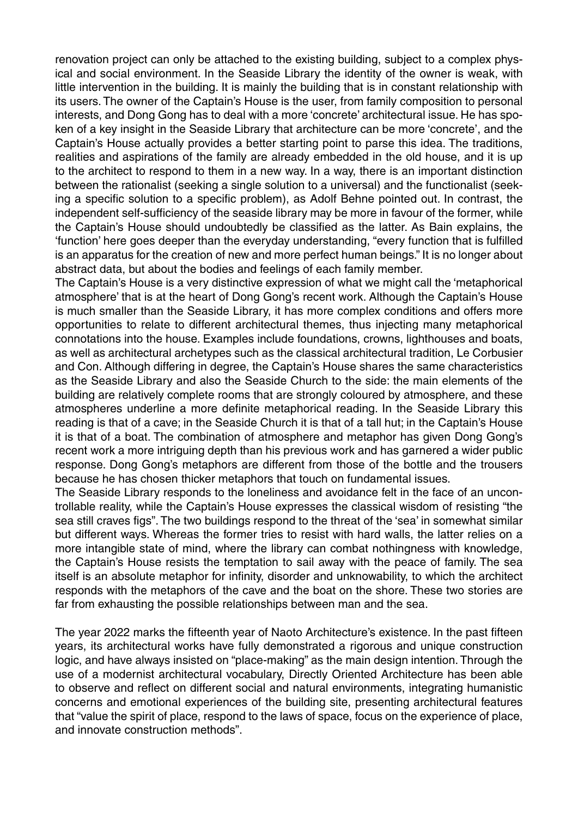renovation project can only be attached to the existing building, subject to a complex physical and social environment. In the Seaside Library the identity of the owner is weak, with little intervention in the building. It is mainly the building that is in constant relationship with its users. The owner of the Captain's House is the user, from family composition to personal interests, and Dong Gong has to deal with a more 'concrete' architectural issue. He has spoken of a key insight in the Seaside Library that architecture can be more 'concrete', and the Captain's House actually provides a better starting point to parse this idea. The traditions, realities and aspirations of the family are already embedded in the old house, and it is up to the architect to respond to them in a new way. In a way, there is an important distinction between the rationalist (seeking a single solution to a universal) and the functionalist (seeking a specific solution to a specific problem), as Adolf Behne pointed out. In contrast, the independent self-sufficiency of the seaside library may be more in favour of the former, while the Captain's House should undoubtedly be classified as the latter. As Bain explains, the 'function' here goes deeper than the everyday understanding, "every function that is fulfilled is an apparatus for the creation of new and more perfect human beings." It is no longer about abstract data, but about the bodies and feelings of each family member.

The Captain's House is a very distinctive expression of what we might call the 'metaphorical atmosphere' that is at the heart of Dong Gong's recent work. Although the Captain's House is much smaller than the Seaside Library, it has more complex conditions and offers more opportunities to relate to different architectural themes, thus injecting many metaphorical connotations into the house. Examples include foundations, crowns, lighthouses and boats, as well as architectural archetypes such as the classical architectural tradition, Le Corbusier and Con. Although differing in degree, the Captain's House shares the same characteristics as the Seaside Library and also the Seaside Church to the side: the main elements of the building are relatively complete rooms that are strongly coloured by atmosphere, and these atmospheres underline a more definite metaphorical reading. In the Seaside Library this reading is that of a cave; in the Seaside Church it is that of a tall hut; in the Captain's House it is that of a boat. The combination of atmosphere and metaphor has given Dong Gong's recent work a more intriguing depth than his previous work and has garnered a wider public response. Dong Gong's metaphors are different from those of the bottle and the trousers because he has chosen thicker metaphors that touch on fundamental issues.

The Seaside Library responds to the loneliness and avoidance felt in the face of an uncontrollable reality, while the Captain's House expresses the classical wisdom of resisting "the sea still craves figs". The two buildings respond to the threat of the 'sea' in somewhat similar but different ways. Whereas the former tries to resist with hard walls, the latter relies on a more intangible state of mind, where the library can combat nothingness with knowledge, the Captain's House resists the temptation to sail away with the peace of family. The sea itself is an absolute metaphor for infinity, disorder and unknowability, to which the architect responds with the metaphors of the cave and the boat on the shore. These two stories are far from exhausting the possible relationships between man and the sea.

The year 2022 marks the fifteenth year of Naoto Architecture's existence. In the past fifteen years, its architectural works have fully demonstrated a rigorous and unique construction logic, and have always insisted on "place-making" as the main design intention. Through the use of a modernist architectural vocabulary, Directly Oriented Architecture has been able to observe and reflect on different social and natural environments, integrating humanistic concerns and emotional experiences of the building site, presenting architectural features that "value the spirit of place, respond to the laws of space, focus on the experience of place, and innovate construction methods".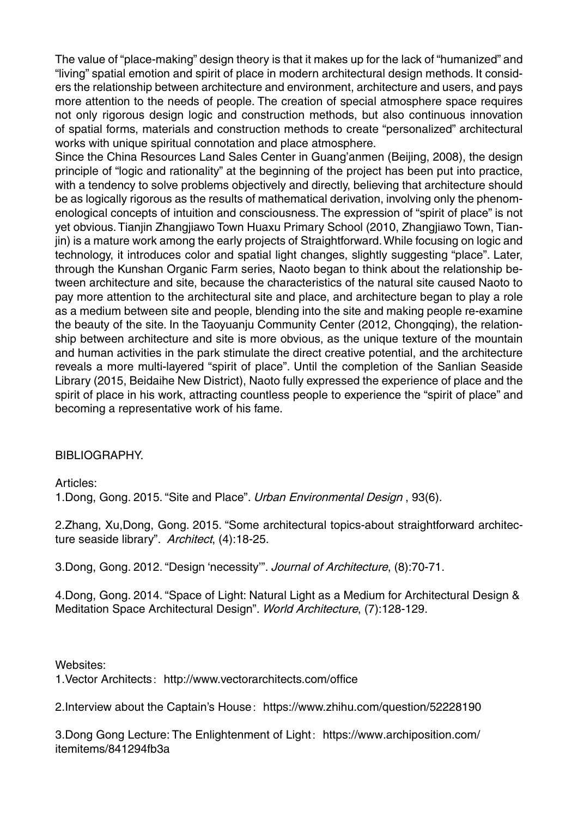The value of "place-making" design theory is that it makes up for the lack of "humanized" and "living" spatial emotion and spirit of place in modern architectural design methods. It considers the relationship between architecture and environment, architecture and users, and pays more attention to the needs of people. The creation of special atmosphere space requires not only rigorous design logic and construction methods, but also continuous innovation of spatial forms, materials and construction methods to create "personalized" architectural works with unique spiritual connotation and place atmosphere.

Since the China Resources Land Sales Center in Guang'anmen (Beijing, 2008), the design principle of "logic and rationality" at the beginning of the project has been put into practice, with a tendency to solve problems objectively and directly, believing that architecture should be as logically rigorous as the results of mathematical derivation, involving only the phenomenological concepts of intuition and consciousness. The expression of "spirit of place" is not yet obvious. Tianjin Zhangjiawo Town Huaxu Primary School (2010, Zhangjiawo Town, Tianjin) is a mature work among the early projects of Straightforward. While focusing on logic and technology, it introduces color and spatial light changes, slightly suggesting "place". Later, through the Kunshan Organic Farm series, Naoto began to think about the relationship between architecture and site, because the characteristics of the natural site caused Naoto to pay more attention to the architectural site and place, and architecture began to play a role as a medium between site and people, blending into the site and making people re-examine the beauty of the site. In the Taoyuanju Community Center (2012, Chongqing), the relationship between architecture and site is more obvious, as the unique texture of the mountain and human activities in the park stimulate the direct creative potential, and the architecture reveals a more multi-layered "spirit of place". Until the completion of the Sanlian Seaside Library (2015, Beidaihe New District), Naoto fully expressed the experience of place and the spirit of place in his work, attracting countless people to experience the "spirit of place" and becoming a representative work of his fame.

### BIBLIOGRAPHY.

Articles:

1. Dong, Gong. 2015. "Site and Place". Urban Environmental Design, 93(6).

2.Zhang, Xu,Dong, Gong. 2015. "Some architectural topics-about straightforward architecture seaside library". Architect, (4):18-25.

3.Dong, Gong. 2012. "Design 'necessity'". Journal of Architecture, (8):70-71.

4.Dong, Gong. 2014. "Space of Light: Natural Light as a Medium for Architectural Design & Meditation Space Architectural Design". World Architecture, (7):128-129.

Websites:

1. Vector Architects: http://www.vectorarchitects.com/office

2.Interview about the Captain's House: https://www.zhihu.com/question/52228190

3.Dong Gong Lecture: The Enlightenment of Light: https://www.archiposition.com/ itemitems/841294fb3a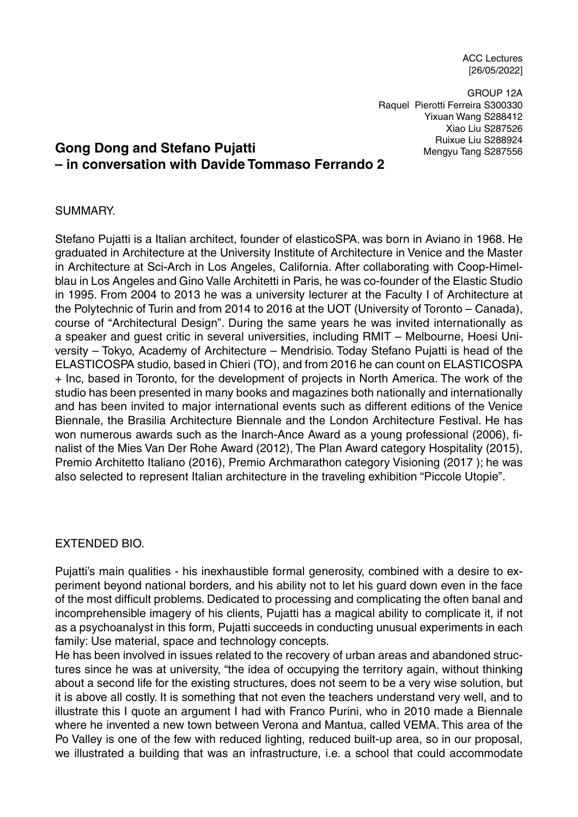ACC Lectures [26/05/2022]

GROUP 12A Raquel Pierotti Ferreira S300330 Yixuan Wang S288412 Xiao Liu S287526 Ruixue Liu S288924 Mengyu Tang S287556

# **Gong Dong and Stefano Pujatti – in conversation with Davide Tommaso Ferrando 2**

### SUMMARY.

Stefano Pujatti is a Italian architect, founder of elasticoSPA, was born in Aviano in 1968. He graduated in Architecture at the University Institute of Architecture in Venice and the Master in Architecture at Sci-Arch in Los Angeles, California. After collaborating with Coop-Himelblau in Los Angeles and Gino Valle Architetti in Paris, he was co-founder of the Elastic Studio in 1995. From 2004 to 2013 he was a university lecturer at the Faculty I of Architecture at the Polytechnic of Turin and from 2014 to 2016 at the UOT (University of Toronto – Canada), course of "Architectural Design". During the same years he was invited internationally as a speaker and guest critic in several universities, including RMIT – Melbourne, Hoesi University – Tokyo, Academy of Architecture – Mendrisio. Today Stefano Pujatti is head of the ELASTICOSPA studio, based in Chieri (TO), and from 2016 he can count on ELASTICOSPA + Inc, based in Toronto, for the development of projects in North America. The work of the studio has been presented in many books and magazines both nationally and internationally and has been invited to major international events such as different editions of the Venice Biennale, the Brasilia Architecture Biennale and the London Architecture Festival. He has won numerous awards such as the Inarch-Ance Award as a young professional (2006), finalist of the Mies Van Der Rohe Award (2012), The Plan Award category Hospitality (2015), Premio Architetto Italiano (2016), Premio Archmarathon category Visioning (2017 ); he was also selected to represent Italian architecture in the traveling exhibition "Piccole Utopie".

#### EXTENDED BIO.

Pujatti's main qualities - his inexhaustible formal generosity, combined with a desire to experiment beyond national borders, and his ability not to let his guard down even in the face of the most difficult problems. Dedicated to processing and complicating the often banal and incomprehensible imagery of his clients, Pujatti has a magical ability to complicate it, if not as a psychoanalyst in this form, Pujatti succeeds in conducting unusual experiments in each family: Use material, space and technology concepts.

He has been involved in issues related to the recovery of urban areas and abandoned structures since he was at university, "the idea of occupying the territory again, without thinking about a second life for the existing structures, does not seem to be a very wise solution, but it is above all costly. It is something that not even the teachers understand very well, and to illustrate this I quote an argument I had with Franco Purini, who in 2010 made a Biennale where he invented a new town between Verona and Mantua, called VEMA. This area of the Po Valley is one of the few with reduced lighting, reduced built-up area, so in our proposal, we illustrated a building that was an infrastructure, i.e. a school that could accommodate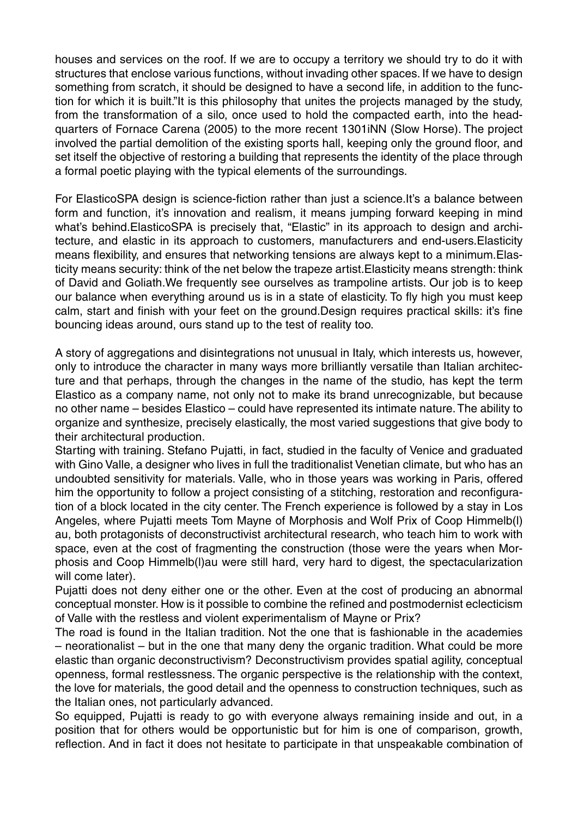houses and services on the roof. If we are to occupy a territory we should try to do it with structures that enclose various functions, without invading other spaces. If we have to design something from scratch, it should be designed to have a second life, in addition to the function for which it is built."It is this philosophy that unites the projects managed by the study, from the transformation of a silo, once used to hold the compacted earth, into the headquarters of Fornace Carena (2005) to the more recent 1301iNN (Slow Horse). The project involved the partial demolition of the existing sports hall, keeping only the ground floor, and set itself the objective of restoring a building that represents the identity of the place through a formal poetic playing with the typical elements of the surroundings.

For ElasticoSPA design is science-fiction rather than just a science.It's a balance between form and function, it's innovation and realism, it means jumping forward keeping in mind what's behind.ElasticoSPA is precisely that, "Elastic" in its approach to design and architecture, and elastic in its approach to customers, manufacturers and end-users.Elasticity means flexibility, and ensures that networking tensions are always kept to a minimum.Elasticity means security: think of the net below the trapeze artist.Elasticity means strength: think of David and Goliath.We frequently see ourselves as trampoline artists. Our job is to keep our balance when everything around us is in a state of elasticity. To fly high you must keep calm, start and finish with your feet on the ground.Design requires practical skills: it's fine bouncing ideas around, ours stand up to the test of reality too.

A story of aggregations and disintegrations not unusual in Italy, which interests us, however, only to introduce the character in many ways more brilliantly versatile than Italian architecture and that perhaps, through the changes in the name of the studio, has kept the term Elastico as a company name, not only not to make its brand unrecognizable, but because no other name – besides Elastico – could have represented its intimate nature. The ability to organize and synthesize, precisely elastically, the most varied suggestions that give body to their architectural production.

Starting with training. Stefano Pujatti, in fact, studied in the faculty of Venice and graduated with Gino Valle, a designer who lives in full the traditionalist Venetian climate, but who has an undoubted sensitivity for materials. Valle, who in those years was working in Paris, offered him the opportunity to follow a project consisting of a stitching, restoration and reconfiguration of a block located in the city center. The French experience is followed by a stay in Los Angeles, where Pujatti meets Tom Mayne of Morphosis and Wolf Prix of Coop Himmelb(l) au, both protagonists of deconstructivist architectural research, who teach him to work with space, even at the cost of fragmenting the construction (those were the years when Morphosis and Coop Himmelb(l)au were still hard, very hard to digest, the spectacularization will come later).

Pujatti does not deny either one or the other. Even at the cost of producing an abnormal conceptual monster. How is it possible to combine the refined and postmodernist eclecticism of Valle with the restless and violent experimentalism of Mayne or Prix?

The road is found in the Italian tradition. Not the one that is fashionable in the academies – neorationalist – but in the one that many deny the organic tradition. What could be more elastic than organic deconstructivism? Deconstructivism provides spatial agility, conceptual openness, formal restlessness. The organic perspective is the relationship with the context, the love for materials, the good detail and the openness to construction techniques, such as the Italian ones, not particularly advanced.

So equipped, Pujatti is ready to go with everyone always remaining inside and out, in a position that for others would be opportunistic but for him is one of comparison, growth, reflection. And in fact it does not hesitate to participate in that unspeakable combination of